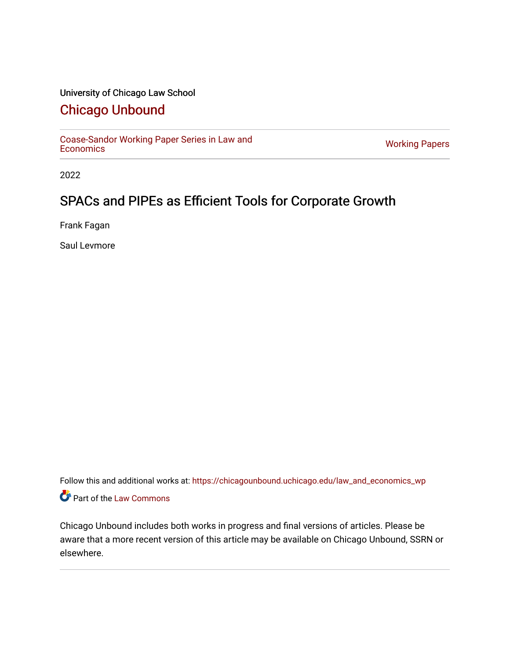# University of Chicago Law School

# [Chicago Unbound](https://chicagounbound.uchicago.edu/)

[Coase-Sandor Working Paper Series in Law and](https://chicagounbound.uchicago.edu/law_and_economics_wp) [Economics](https://chicagounbound.uchicago.edu/law_and_economics_wp) [Working Papers](https://chicagounbound.uchicago.edu/working_papers) 

2022

# SPACs and PIPEs as Efficient Tools for Corporate Growth

Frank Fagan

Saul Levmore

Follow this and additional works at: [https://chicagounbound.uchicago.edu/law\\_and\\_economics\\_wp](https://chicagounbound.uchicago.edu/law_and_economics_wp?utm_source=chicagounbound.uchicago.edu%2Flaw_and_economics_wp%2F72&utm_medium=PDF&utm_campaign=PDFCoverPages)  Part of the [Law Commons](http://network.bepress.com/hgg/discipline/578?utm_source=chicagounbound.uchicago.edu%2Flaw_and_economics_wp%2F72&utm_medium=PDF&utm_campaign=PDFCoverPages)

Chicago Unbound includes both works in progress and final versions of articles. Please be aware that a more recent version of this article may be available on Chicago Unbound, SSRN or elsewhere.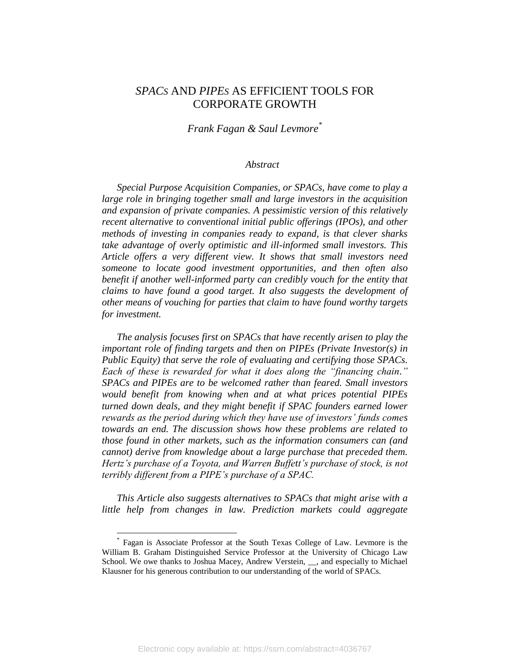# *SPACS* AND *PIPES* AS EFFICIENT TOOLS FOR CORPORATE GROWTH

*Frank Fagan & Saul Levmore\**

#### *Abstract*

*Special Purpose Acquisition Companies, or SPACs, have come to play a large role in bringing together small and large investors in the acquisition and expansion of private companies. A pessimistic version of this relatively recent alternative to conventional initial public offerings (IPOs), and other methods of investing in companies ready to expand, is that clever sharks take advantage of overly optimistic and ill-informed small investors. This Article offers a very different view. It shows that small investors need someone to locate good investment opportunities, and then often also benefit if another well-informed party can credibly vouch for the entity that claims to have found a good target. It also suggests the development of other means of vouching for parties that claim to have found worthy targets for investment.*

*The analysis focuses first on SPACs that have recently arisen to play the important role of finding targets and then on PIPEs (Private Investor(s) in Public Equity) that serve the role of evaluating and certifying those SPACs. Each of these is rewarded for what it does along the "financing chain." SPACs and PIPEs are to be welcomed rather than feared. Small investors would benefit from knowing when and at what prices potential PIPEs turned down deals, and they might benefit if SPAC founders earned lower rewards as the period during which they have use of investors' funds comes towards an end. The discussion shows how these problems are related to those found in other markets, such as the information consumers can (and cannot) derive from knowledge about a large purchase that preceded them. Hertz's purchase of a Toyota, and Warren Buffett's purchase of stock, is not terribly different from a PIPE's purchase of a SPAC.*

*This Article also suggests alternatives to SPACs that might arise with a little help from changes in law. Prediction markets could aggregate* 

<sup>\*</sup> Fagan is Associate Professor at the South Texas College of Law. Levmore is the William B. Graham Distinguished Service Professor at the University of Chicago Law School. We owe thanks to Joshua Macey, Andrew Verstein, \_\_, and especially to Michael Klausner for his generous contribution to our understanding of the world of SPACs.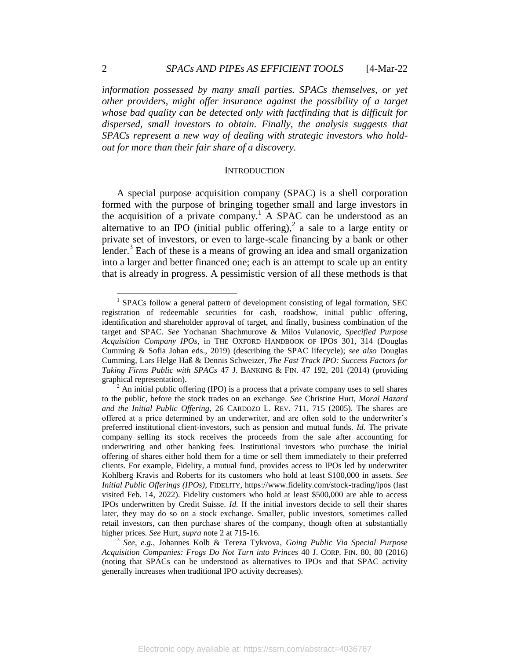*information possessed by many small parties. SPACs themselves, or yet other providers, might offer insurance against the possibility of a target whose bad quality can be detected only with factfinding that is difficult for dispersed, small investors to obtain. Finally, the analysis suggests that SPACs represent a new way of dealing with strategic investors who holdout for more than their fair share of a discovery.*

#### **INTRODUCTION**

A special purpose acquisition company (SPAC) is a shell corporation formed with the purpose of bringing together small and large investors in the acquisition of a private company.<sup>1</sup> A SPAC can be understood as an alternative to an IPO (initial public offering),<sup>2</sup> a sale to a large entity or private set of investors, or even to large-scale financing by a bank or other lender.<sup>3</sup> Each of these is a means of growing an idea and small organization into a larger and better financed one; each is an attempt to scale up an entity that is already in progress. A pessimistic version of all these methods is that

<sup>&</sup>lt;sup>1</sup> SPACs follow a general pattern of development consisting of legal formation, SEC registration of redeemable securities for cash, roadshow, initial public offering, identification and shareholder approval of target, and finally, business combination of the target and SPAC. *See* Yochanan Shachmurove & Milos Vulanovic, *Specified Purpose Acquisition Company IPOs*, in THE OXFORD HANDBOOK OF IPOS 301, 314 (Douglas Cumming & Sofia Johan eds., 2019) (describing the SPAC lifecycle); *see also* Douglas Cumming, Lars Helge Haß & Dennis Schweizer, *The Fast Track IPO: Success Factors for Taking Firms Public with SPACs* 47 J. BANKING & FIN. 47 192, 201 (2014) (providing graphical representation).

 $^{2}$  An initial public offering (IPO) is a process that a private company uses to sell shares to the public, before the stock trades on an exchange. *See* Christine Hurt, *Moral Hazard and the Initial Public Offering*, 26 CARDOZO L. REV. 711, 715 (2005). The shares are offered at a price determined by an underwriter, and are often sold to the underwriter"s preferred institutional client-investors, such as pension and mutual funds. *Id.* The private company selling its stock receives the proceeds from the sale after accounting for underwriting and other banking fees. Institutional investors who purchase the initial offering of shares either hold them for a time or sell them immediately to their preferred clients. For example, Fidelity, a mutual fund, provides access to IPOs led by underwriter Kohlberg Kravis and Roberts for its customers who hold at least \$100,000 in assets. *See Initial Public Offerings (IPOs)*, FIDELITY, https://www.fidelity.com/stock-trading/ipos (last visited Feb. 14, 2022). Fidelity customers who hold at least \$500,000 are able to access IPOs underwritten by Credit Suisse. *Id.* If the initial investors decide to sell their shares later, they may do so on a stock exchange. Smaller, public investors, sometimes called retail investors, can then purchase shares of the company, though often at substantially higher prices. *See* Hurt, *supra* note 2 at 715-16.

<sup>3</sup> *See, e.g.*, Johannes Kolb & Tereza Tykvova, *Going Public Via Special Purpose Acquisition Companies: Frogs Do Not Turn into Princes* 40 J. CORP. FIN. 80, 80 (2016) (noting that SPACs can be understood as alternatives to IPOs and that SPAC activity generally increases when traditional IPO activity decreases).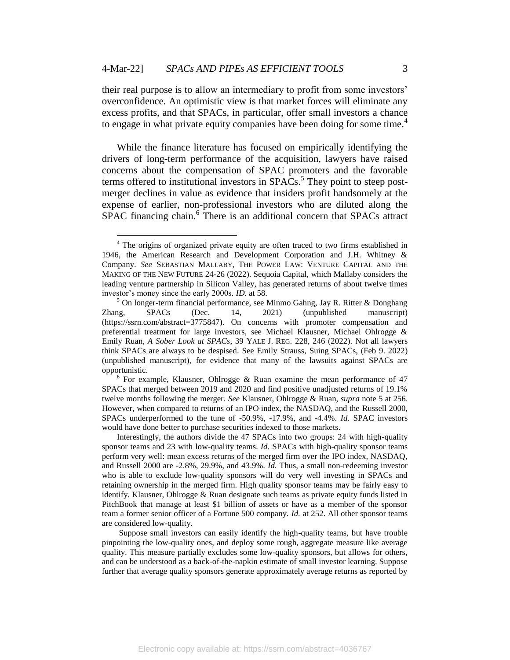$\overline{a}$ 

their real purpose is to allow an intermediary to profit from some investors" overconfidence. An optimistic view is that market forces will eliminate any excess profits, and that SPACs, in particular, offer small investors a chance to engage in what private equity companies have been doing for some time.<sup>4</sup>

While the finance literature has focused on empirically identifying the drivers of long-term performance of the acquisition, lawyers have raised concerns about the compensation of SPAC promoters and the favorable terms offered to institutional investors in  $SPACs$ <sup>5</sup>. They point to steep postmerger declines in value as evidence that insiders profit handsomely at the expense of earlier, non-professional investors who are diluted along the SPAC financing chain.<sup>6</sup> There is an additional concern that SPACs attract

 $6$  For example, Klausner, Ohlrogge & Ruan examine the mean performance of 47 SPACs that merged between 2019 and 2020 and find positive unadjusted returns of 19.1% twelve months following the merger. *See* Klausner, Ohlrogge & Ruan, *supra* note 5 at 256. However, when compared to returns of an IPO index, the NASDAQ, and the Russell 2000, SPACs underperformed to the tune of -50.9%, -17.9%, and -4.4%. *Id.* SPAC investors would have done better to purchase securities indexed to those markets.

Interestingly, the authors divide the 47 SPACs into two groups: 24 with high-quality sponsor teams and 23 with low-quality teams. *Id.* SPACs with high-quality sponsor teams perform very well: mean excess returns of the merged firm over the IPO index, NASDAQ, and Russell 2000 are -2.8%, 29.9%, and 43.9%. *Id.* Thus, a small non-redeeming investor who is able to exclude low-quality sponsors will do very well investing in SPACs and retaining ownership in the merged firm. High quality sponsor teams may be fairly easy to identify. Klausner, Ohlrogge & Ruan designate such teams as private equity funds listed in PitchBook that manage at least \$1 billion of assets or have as a member of the sponsor team a former senior officer of a Fortune 500 company. *Id.* at 252. All other sponsor teams are considered low-quality.

Suppose small investors can easily identify the high-quality teams, but have trouble pinpointing the low-quality ones, and deploy some rough, aggregate measure like average quality. This measure partially excludes some low-quality sponsors, but allows for others, and can be understood as a back-of-the-napkin estimate of small investor learning. Suppose further that average quality sponsors generate approximately average returns as reported by

<sup>&</sup>lt;sup>4</sup> The origins of organized private equity are often traced to two firms established in 1946, the American Research and Development Corporation and J.H. Whitney & Company. *See* SEBASTIAN MALLABY, THE POWER LAW: VENTURE CAPITAL AND THE MAKING OF THE NEW FUTURE 24-26 (2022). Sequoia Capital, which Mallaby considers the leading venture partnership in Silicon Valley, has generated returns of about twelve times investor"s money since the early 2000s. *ID.* at 58.

<sup>&</sup>lt;sup>5</sup> On longer-term financial performance, see Minmo Gahng, Jay R. Ritter & Donghang Zhang, SPACs (Dec. 14, 2021) (unpublished manuscript) (https://ssrn.com/abstract=3775847). On concerns with promoter compensation and preferential treatment for large investors, see Michael Klausner, Michael Ohlrogge & Emily Ruan, *A Sober Look at SPACs*, 39 YALE J. REG. 228, 246 (2022). Not all lawyers think SPACs are always to be despised. See Emily Strauss, Suing SPACs, (Feb 9. 2022) (unpublished manuscript), for evidence that many of the lawsuits against SPACs are opportunistic.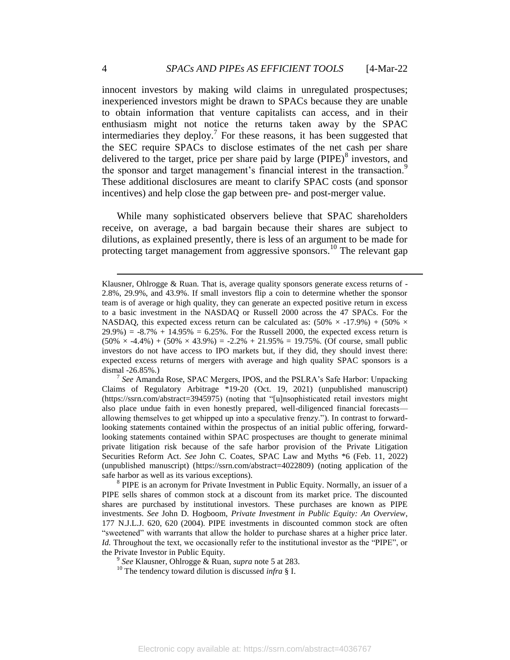innocent investors by making wild claims in unregulated prospectuses; inexperienced investors might be drawn to SPACs because they are unable to obtain information that venture capitalists can access, and in their enthusiasm might not notice the returns taken away by the SPAC intermediaries they deploy.<sup>7</sup> For these reasons, it has been suggested that the SEC require SPACs to disclose estimates of the net cash per share delivered to the target, price per share paid by large  $(PIPE)^8$  investors, and the sponsor and target management's financial interest in the transaction.<sup>9</sup> These additional disclosures are meant to clarify SPAC costs (and sponsor incentives) and help close the gap between pre- and post-merger value.

While many sophisticated observers believe that SPAC shareholders receive, on average, a bad bargain because their shares are subject to dilutions, as explained presently, there is less of an argument to be made for protecting target management from aggressive sponsors.<sup>10</sup> The relevant gap

<sup>7</sup> See Amanda Rose, SPAC Mergers, IPOS, and the PSLRA's Safe Harbor: Unpacking Claims of Regulatory Arbitrage \*19-20 (Oct. 19, 2021) (unpublished manuscript) (https://ssrn.com/abstract=3945975) (noting that "[u]nsophisticated retail investors might also place undue faith in even honestly prepared, well-diligenced financial forecasts allowing themselves to get whipped up into a speculative frenzy."). In contrast to forwardlooking statements contained within the prospectus of an initial public offering, forwardlooking statements contained within SPAC prospectuses are thought to generate minimal private litigation risk because of the safe harbor provision of the Private Litigation Securities Reform Act. *See* John C. Coates, SPAC Law and Myths \*6 (Feb. 11, 2022) (unpublished manuscript) (https://ssrn.com/abstract=4022809) (noting application of the safe harbor as well as its various exceptions).

<sup>8</sup> PIPE is an acronym for Private Investment in Public Equity. Normally, an issuer of a PIPE sells shares of common stock at a discount from its market price. The discounted shares are purchased by institutional investors. These purchases are known as PIPE investments. *See* John D. Hogboom, *Private Investment in Public Equity: An Overview*, 177 N.J.L.J. 620, 620 (2004). PIPE investments in discounted common stock are often "sweetened" with warrants that allow the holder to purchase shares at a higher price later. *Id.* Throughout the text, we occasionally refer to the institutional investor as the "PIPE", or the Private Investor in Public Equity.

9 *See* Klausner, Ohlrogge & Ruan, *supra* note 5 at 283.

<sup>10</sup> The tendency toward dilution is discussed *infra* § I.

Klausner, Ohlrogge & Ruan. That is, average quality sponsors generate excess returns of - 2.8%, 29.9%, and 43.9%. If small investors flip a coin to determine whether the sponsor team is of average or high quality, they can generate an expected positive return in excess to a basic investment in the NASDAQ or Russell 2000 across the 47 SPACs. For the NASDAQ, this expected excess return can be calculated as:  $(50\% \times -17.9\%) + (50\% \times$  $29.9\% = -8.7\% + 14.95\% = 6.25\%.$  For the Russell 2000, the expected excess return is  $(50\% \times -4.4\%) + (50\% \times 43.9\%) = -2.2\% + 21.95\% = 19.75\%$ . (Of course, small public investors do not have access to IPO markets but, if they did, they should invest there: expected excess returns of mergers with average and high quality SPAC sponsors is a dismal -26.85%.)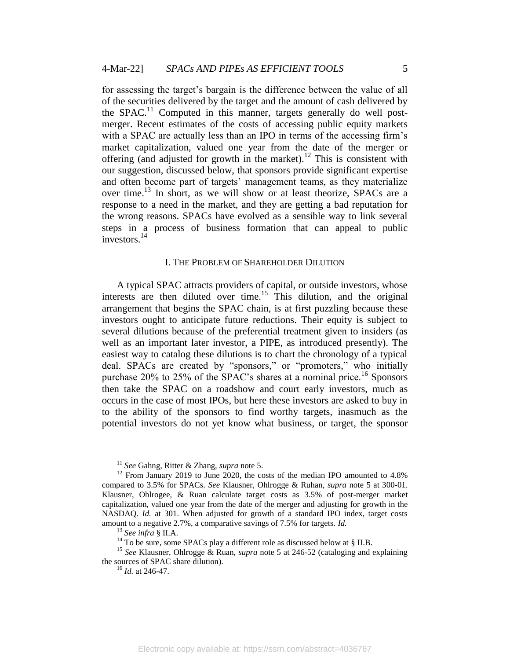for assessing the target"s bargain is the difference between the value of all of the securities delivered by the target and the amount of cash delivered by the SPAC.<sup>11</sup> Computed in this manner, targets generally do well postmerger. Recent estimates of the costs of accessing public equity markets with a SPAC are actually less than an IPO in terms of the accessing firm's market capitalization, valued one year from the date of the merger or offering (and adjusted for growth in the market).<sup>12</sup> This is consistent with our suggestion, discussed below, that sponsors provide significant expertise and often become part of targets' management teams, as they materialize over time.<sup>13</sup> In short, as we will show or at least theorize, SPACs are a response to a need in the market, and they are getting a bad reputation for the wrong reasons. SPACs have evolved as a sensible way to link several steps in a process of business formation that can appeal to public investors.<sup>14</sup>

#### I. THE PROBLEM OF SHAREHOLDER DILUTION

A typical SPAC attracts providers of capital, or outside investors, whose interests are then diluted over time.<sup>15</sup> This dilution, and the original arrangement that begins the SPAC chain, is at first puzzling because these investors ought to anticipate future reductions. Their equity is subject to several dilutions because of the preferential treatment given to insiders (as well as an important later investor, a PIPE, as introduced presently). The easiest way to catalog these dilutions is to chart the chronology of a typical deal. SPACs are created by "sponsors," or "promoters," who initially purchase 20% to 25% of the SPAC's shares at a nominal price.<sup>16</sup> Sponsors then take the SPAC on a roadshow and court early investors, much as occurs in the case of most IPOs, but here these investors are asked to buy in to the ability of the sponsors to find worthy targets, inasmuch as the potential investors do not yet know what business, or target, the sponsor

<sup>11</sup> *See* Gahng, Ritter & Zhang, *supra* note 5.

 $12$  From January 2019 to June 2020, the costs of the median IPO amounted to 4.8% compared to 3.5% for SPACs. *See* Klausner, Ohlrogge & Ruhan, *supra* note 5 at 300-01. Klausner, Ohlrogee, & Ruan calculate target costs as 3.5% of post-merger market capitalization, valued one year from the date of the merger and adjusting for growth in the NASDAQ. *Id.* at 301. When adjusted for growth of a standard IPO index, target costs amount to a negative 2.7%, a comparative savings of 7.5% for targets. *Id.*

<sup>13</sup> *See infra* § II.A.

<sup>&</sup>lt;sup>14</sup> To be sure, some SPACs play a different role as discussed below at § II.B.

<sup>15</sup> *See* Klausner, Ohlrogge & Ruan, *supra* note 5 at 246-52 (cataloging and explaining the sources of SPAC share dilution).

<sup>16</sup> *Id.* at 246-47.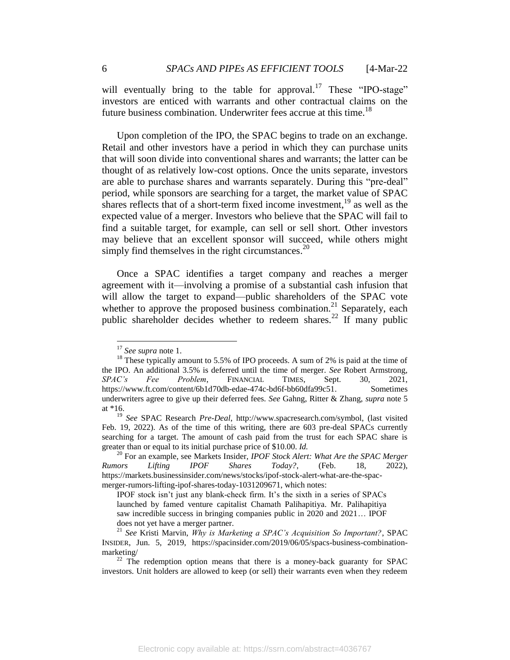will eventually bring to the table for approval.<sup>17</sup> These "IPO-stage" investors are enticed with warrants and other contractual claims on the future business combination. Underwriter fees accrue at this time.<sup>18</sup>

Upon completion of the IPO, the SPAC begins to trade on an exchange. Retail and other investors have a period in which they can purchase units that will soon divide into conventional shares and warrants; the latter can be thought of as relatively low-cost options. Once the units separate, investors are able to purchase shares and warrants separately. During this "pre-deal" period, while sponsors are searching for a target, the market value of SPAC shares reflects that of a short-term fixed income investment,<sup>19</sup> as well as the expected value of a merger. Investors who believe that the SPAC will fail to find a suitable target, for example, can sell or sell short. Other investors may believe that an excellent sponsor will succeed, while others might simply find themselves in the right circumstances.<sup>20</sup>

Once a SPAC identifies a target company and reaches a merger agreement with it—involving a promise of a substantial cash infusion that will allow the target to expand—public shareholders of the SPAC vote whether to approve the proposed business combination.<sup>21</sup> Separately, each public shareholder decides whether to redeem shares.<sup>22</sup> If many public

<sup>17</sup> *See supra* note 1.

<sup>&</sup>lt;sup>18</sup> These typically amount to 5.5% of IPO proceeds. A sum of 2% is paid at the time of the IPO. An additional 3.5% is deferred until the time of merger. *See* Robert Armstrong, *SPAC's Fee Problem*, FINANCIAL TIMES, Sept. 30, 2021, https://www.ft.com/content/6b1d70db-edae-474c-bd6f-bb60dfa99c51. Sometimes underwriters agree to give up their deferred fees. *See* Gahng, Ritter & Zhang, *supra* note 5 at \*16.

<sup>19</sup> *See* SPAC Research *Pre-Deal*, http://www.spacresearch.com/symbol, (last visited Feb. 19, 2022). As of the time of this writing, there are 603 pre-deal SPACs currently searching for a target. The amount of cash paid from the trust for each SPAC share is greater than or equal to its initial purchase price of \$10.00. *Id.*

<sup>20</sup> For an example, see Markets Insider, *IPOF Stock Alert: What Are the SPAC Merger Rumors Lifting IPOF Shares Today?*, (Feb. 18, 2022), https://markets.businessinsider.com/news/stocks/ipof-stock-alert-what-are-the-spacmerger-rumors-lifting-ipof-shares-today-1031209671, which notes:

IPOF stock isn't just any blank-check firm. It's the sixth in a series of SPACs launched by famed venture capitalist Chamath Palihapitiya. Mr. Palihapitiya saw incredible success in bringing companies public in 2020 and 2021… IPOF does not yet have a merger partner.

<sup>21</sup> *See* Kristi Marvin, *Why is Marketing a SPAC's Acquisition So Important?*, SPAC INSIDER, Jun. 5, 2019, https://spacinsider.com/2019/06/05/spacs-business-combinationmarketing/

 $22$  The redemption option means that there is a money-back guaranty for SPAC investors. Unit holders are allowed to keep (or sell) their warrants even when they redeem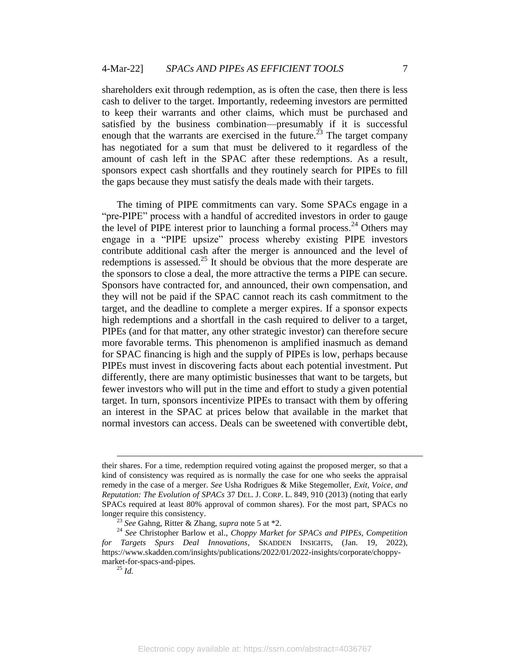shareholders exit through redemption, as is often the case, then there is less cash to deliver to the target. Importantly, redeeming investors are permitted to keep their warrants and other claims, which must be purchased and satisfied by the business combination—presumably if it is successful enough that the warrants are exercised in the future.<sup>23</sup> The target company has negotiated for a sum that must be delivered to it regardless of the amount of cash left in the SPAC after these redemptions. As a result, sponsors expect cash shortfalls and they routinely search for PIPEs to fill the gaps because they must satisfy the deals made with their targets.

The timing of PIPE commitments can vary. Some SPACs engage in a "pre-PIPE" process with a handful of accredited investors in order to gauge the level of PIPE interest prior to launching a formal process.<sup>24</sup> Others may engage in a "PIPE upsize" process whereby existing PIPE investors contribute additional cash after the merger is announced and the level of redemptions is assessed.<sup>25</sup> It should be obvious that the more desperate are the sponsors to close a deal, the more attractive the terms a PIPE can secure. Sponsors have contracted for, and announced, their own compensation, and they will not be paid if the SPAC cannot reach its cash commitment to the target, and the deadline to complete a merger expires. If a sponsor expects high redemptions and a shortfall in the cash required to deliver to a target, PIPEs (and for that matter, any other strategic investor) can therefore secure more favorable terms. This phenomenon is amplified inasmuch as demand for SPAC financing is high and the supply of PIPEs is low, perhaps because PIPEs must invest in discovering facts about each potential investment. Put differently, there are many optimistic businesses that want to be targets, but fewer investors who will put in the time and effort to study a given potential target. In turn, sponsors incentivize PIPEs to transact with them by offering an interest in the SPAC at prices below that available in the market that normal investors can access. Deals can be sweetened with convertible debt,

their shares. For a time, redemption required voting against the proposed merger, so that a kind of consistency was required as is normally the case for one who seeks the appraisal remedy in the case of a merger. *See* Usha Rodrigues & Mike Stegemoller, *Exit, Voice, and Reputation: The Evolution of SPACs* 37 DEL. J. CORP. L. 849, 910 (2013) (noting that early SPACs required at least 80% approval of common shares). For the most part, SPACs no longer require this consistency.

<sup>23</sup> *See* Gahng, Ritter & Zhang, *supra* note 5 at \*2.

<sup>24</sup> *See* Christopher Barlow et al., *Choppy Market for SPACs and PIPEs, Competition for Targets Spurs Deal Innovations*, SKADDEN INSIGHTS, (Jan. 19, 2022), https://www.skadden.com/insights/publications/2022/01/2022-insights/corporate/choppymarket-for-spacs-and-pipes.

<sup>25</sup> *Id.*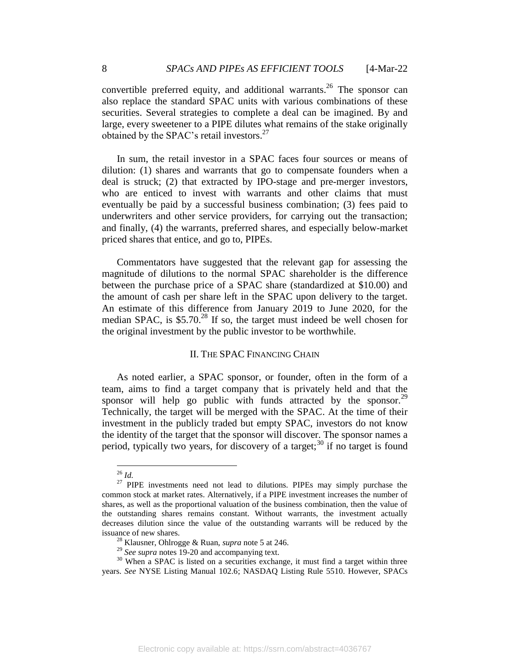convertible preferred equity, and additional warrants. <sup>26</sup> The sponsor can also replace the standard SPAC units with various combinations of these securities. Several strategies to complete a deal can be imagined. By and large, every sweetener to a PIPE dilutes what remains of the stake originally obtained by the SPAC's retail investors. $27$ 

In sum, the retail investor in a SPAC faces four sources or means of dilution: (1) shares and warrants that go to compensate founders when a deal is struck; (2) that extracted by IPO-stage and pre-merger investors, who are enticed to invest with warrants and other claims that must eventually be paid by a successful business combination; (3) fees paid to underwriters and other service providers, for carrying out the transaction; and finally, (4) the warrants, preferred shares, and especially below-market priced shares that entice, and go to, PIPEs.

Commentators have suggested that the relevant gap for assessing the magnitude of dilutions to the normal SPAC shareholder is the difference between the purchase price of a SPAC share (standardized at \$10.00) and the amount of cash per share left in the SPAC upon delivery to the target. An estimate of this difference from January 2019 to June 2020, for the median SPAC, is  $$5.70<sup>28</sup>$  If so, the target must indeed be well chosen for the original investment by the public investor to be worthwhile.

#### II. THE SPAC FINANCING CHAIN

As noted earlier, a SPAC sponsor, or founder, often in the form of a team, aims to find a target company that is privately held and that the sponsor will help go public with funds attracted by the sponsor. $^{29}$ Technically, the target will be merged with the SPAC. At the time of their investment in the publicly traded but empty SPAC, investors do not know the identity of the target that the sponsor will discover. The sponsor names a period, typically two years, for discovery of a target;<sup>30</sup> if no target is found

<sup>26</sup> *Id.*

<sup>&</sup>lt;sup>27</sup> PIPE investments need not lead to dilutions. PIPEs may simply purchase the common stock at market rates. Alternatively, if a PIPE investment increases the number of shares, as well as the proportional valuation of the business combination, then the value of the outstanding shares remains constant. Without warrants, the investment actually decreases dilution since the value of the outstanding warrants will be reduced by the issuance of new shares.

<sup>28</sup> Klausner, Ohlrogge & Ruan, *supra* note 5 at 246.

<sup>29</sup> *See supra* notes 19-20 and accompanying text.

<sup>&</sup>lt;sup>30</sup> When a SPAC is listed on a securities exchange, it must find a target within three years. *See* NYSE Listing Manual 102.6; NASDAQ Listing Rule 5510. However, SPACs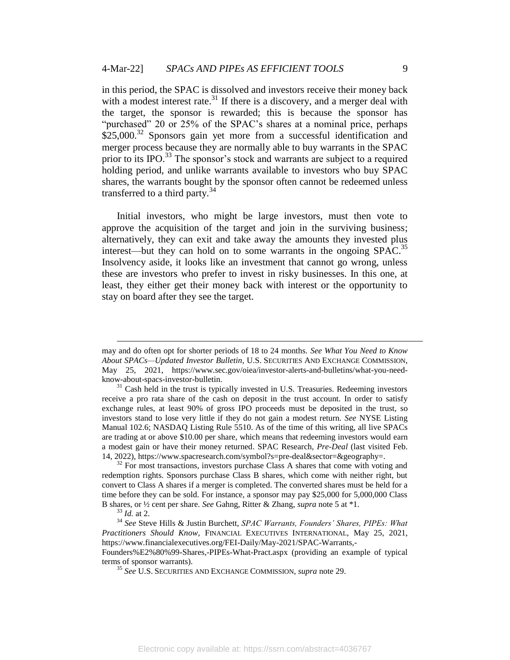in this period, the SPAC is dissolved and investors receive their money back with a modest interest rate.<sup>31</sup> If there is a discovery, and a merger deal with the target, the sponsor is rewarded; this is because the sponsor has "purchased" 20 or 25% of the SPAC"s shares at a nominal price, perhaps  $$25,000.<sup>32</sup>$  Sponsors gain yet more from a successful identification and merger process because they are normally able to buy warrants in the SPAC prior to its IPO.<sup>33</sup> The sponsor's stock and warrants are subject to a required holding period, and unlike warrants available to investors who buy SPAC shares, the warrants bought by the sponsor often cannot be redeemed unless transferred to a third party.<sup>34</sup>

Initial investors, who might be large investors, must then vote to approve the acquisition of the target and join in the surviving business; alternatively, they can exit and take away the amounts they invested plus interest—but they can hold on to some warrants in the ongoing SPAC.<sup>35</sup> Insolvency aside, it looks like an investment that cannot go wrong, unless these are investors who prefer to invest in risky businesses. In this one, at least, they either get their money back with interest or the opportunity to stay on board after they see the target.

 $32$  For most transactions, investors purchase Class A shares that come with voting and redemption rights. Sponsors purchase Class B shares, which come with neither right, but convert to Class A shares if a merger is completed. The converted shares must be held for a time before they can be sold. For instance, a sponsor may pay \$25,000 for 5,000,000 Class B shares, or ½ cent per share. *See* Gahng, Ritter & Zhang, *supra* note 5 at \*1.

may and do often opt for shorter periods of 18 to 24 months. *See What You Need to Know About SPACs—Updated Investor Bulletin*, U.S. SECURITIES AND EXCHANGE COMMISSION, May 25, 2021, https://www.sec.gov/oiea/investor-alerts-and-bulletins/what-you-needknow-about-spacs-investor-bulletin.

 $31$  Cash held in the trust is typically invested in U.S. Treasuries. Redeeming investors receive a pro rata share of the cash on deposit in the trust account. In order to satisfy exchange rules, at least 90% of gross IPO proceeds must be deposited in the trust, so investors stand to lose very little if they do not gain a modest return. *See* NYSE Listing Manual 102.6; NASDAQ Listing Rule 5510. As of the time of this writing, all live SPACs are trading at or above \$10.00 per share, which means that redeeming investors would earn a modest gain or have their money returned. SPAC Research, *Pre-Deal* (last visited Feb. 14, 2022), https://www.spacresearch.com/symbol?s=pre-deal&sector=&geography=.

<sup>33</sup> *Id.* at 2.

<sup>34</sup> *See* Steve Hills & Justin Burchett, *SPAC Warrants, Founders' Shares, PIPEs: What Practitioners Should Know*, FINANCIAL EXECUTIVES INTERNATIONAL, May 25, 2021, https://www.financialexecutives.org/FEI-Daily/May-2021/SPAC-Warrants,-

Founders%E2%80%99-Shares,-PIPEs-What-Pract.aspx (providing an example of typical terms of sponsor warrants).

<sup>35</sup> *See* U.S. SECURITIES AND EXCHANGE COMMISSION, *supra* note 29.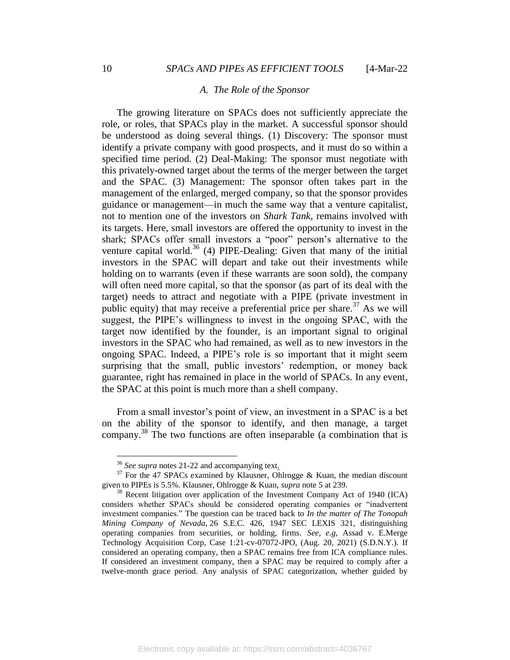#### *A. The Role of the Sponsor*

The growing literature on SPACs does not sufficiently appreciate the role, or roles, that SPACs play in the market. A successful sponsor should be understood as doing several things. (1) Discovery: The sponsor must identify a private company with good prospects, and it must do so within a specified time period. (2) Deal-Making: The sponsor must negotiate with this privately-owned target about the terms of the merger between the target and the SPAC. (3) Management: The sponsor often takes part in the management of the enlarged, merged company, so that the sponsor provides guidance or management—in much the same way that a venture capitalist, not to mention one of the investors on *Shark Tank*, remains involved with its targets. Here, small investors are offered the opportunity to invest in the shark; SPACs offer small investors a "poor" person's alternative to the venture capital world. $36$  (4) PIPE-Dealing: Given that many of the initial investors in the SPAC will depart and take out their investments while holding on to warrants (even if these warrants are soon sold), the company will often need more capital, so that the sponsor (as part of its deal with the target) needs to attract and negotiate with a PIPE (private investment in public equity) that may receive a preferential price per share.<sup>37</sup> As we will suggest, the PIPE's willingness to invest in the ongoing SPAC, with the target now identified by the founder, is an important signal to original investors in the SPAC who had remained, as well as to new investors in the ongoing SPAC. Indeed, a PIPE"s role is so important that it might seem surprising that the small, public investors' redemption, or money back guarantee, right has remained in place in the world of SPACs. In any event, the SPAC at this point is much more than a shell company.

From a small investor's point of view, an investment in a SPAC is a bet on the ability of the sponsor to identify, and then manage, a target company.<sup>38</sup> The two functions are often inseparable (a combination that is

<sup>36</sup> *See supra* notes 21-22 and accompanying text.

<sup>&</sup>lt;sup>37</sup> For the 47 SPACs examined by Klausner, Ohlrogge & Kuan, the median discount given to PIPEs is 5.5%. Klausner, Ohlrogge & Kuan, *supra* note 5 at 239.

<sup>&</sup>lt;sup>38</sup> Recent litigation over application of the Investment Company Act of 1940 (ICA) considers whether SPACs should be considered operating companies or "inadvertent investment companies." The question can be traced back to *In the matter of The Tonopah Mining Company of Nevada*, 26 S.E.C. 426, 1947 SEC LEXIS 321, distinguishing operating companies from securities, or holding, firms. *See, e.g,* Assad v. E.Merge Technology Acquisition Corp, Case 1:21-cv-07072-JPO, (Aug. 20, 2021) (S.D.N.Y.). If considered an operating company, then a SPAC remains free from ICA compliance rules. If considered an investment company, then a SPAC may be required to comply after a twelve-month grace period. Any analysis of SPAC categorization, whether guided by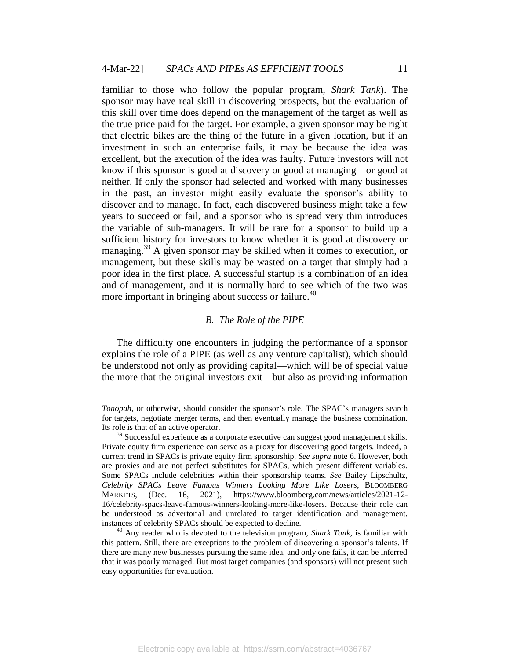familiar to those who follow the popular program, *Shark Tank*). The sponsor may have real skill in discovering prospects, but the evaluation of this skill over time does depend on the management of the target as well as the true price paid for the target. For example, a given sponsor may be right that electric bikes are the thing of the future in a given location, but if an investment in such an enterprise fails, it may be because the idea was excellent, but the execution of the idea was faulty. Future investors will not know if this sponsor is good at discovery or good at managing—or good at neither. If only the sponsor had selected and worked with many businesses in the past, an investor might easily evaluate the sponsor's ability to discover and to manage. In fact, each discovered business might take a few years to succeed or fail, and a sponsor who is spread very thin introduces the variable of sub-managers. It will be rare for a sponsor to build up a sufficient history for investors to know whether it is good at discovery or managing.<sup>39</sup> A given sponsor may be skilled when it comes to execution, or management, but these skills may be wasted on a target that simply had a poor idea in the first place. A successful startup is a combination of an idea and of management, and it is normally hard to see which of the two was more important in bringing about success or failure.<sup>40</sup>

# *B. The Role of the PIPE*

The difficulty one encounters in judging the performance of a sponsor explains the role of a PIPE (as well as any venture capitalist), which should be understood not only as providing capital—which will be of special value the more that the original investors exit—but also as providing information

*Tonopah*, or otherwise, should consider the sponsor's role. The SPAC's managers search for targets, negotiate merger terms, and then eventually manage the business combination. Its role is that of an active operator.

<sup>&</sup>lt;sup>39</sup> Successful experience as a corporate executive can suggest good management skills. Private equity firm experience can serve as a proxy for discovering good targets. Indeed, a current trend in SPACs is private equity firm sponsorship. *See supra* note 6. However, both are proxies and are not perfect substitutes for SPACs, which present different variables. Some SPACs include celebrities within their sponsorship teams. *See* Bailey Lipschultz, *Celebrity SPACs Leave Famous Winners Looking More Like Losers*, BLOOMBERG MARKETS, (Dec. 16, 2021), https://www.bloomberg.com/news/articles/2021-12- 16/celebrity-spacs-leave-famous-winners-looking-more-like-losers. Because their role can be understood as advertorial and unrelated to target identification and management, instances of celebrity SPACs should be expected to decline.

<sup>40</sup> Any reader who is devoted to the television program, *Shark Tank*, is familiar with this pattern. Still, there are exceptions to the problem of discovering a sponsor"s talents. If there are many new businesses pursuing the same idea, and only one fails, it can be inferred that it was poorly managed. But most target companies (and sponsors) will not present such easy opportunities for evaluation.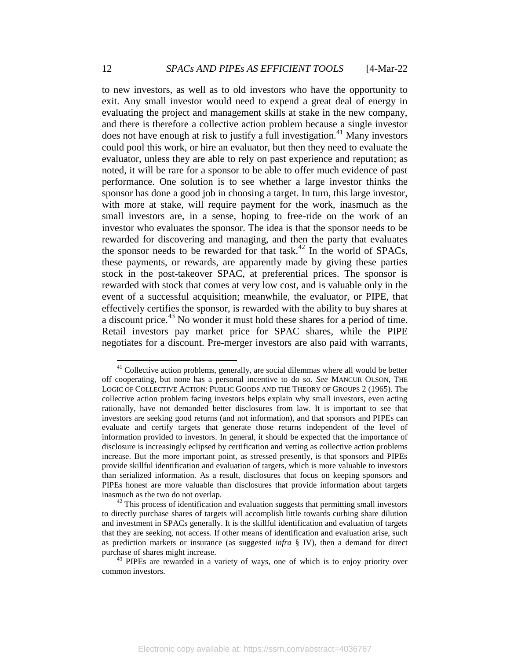to new investors, as well as to old investors who have the opportunity to exit. Any small investor would need to expend a great deal of energy in evaluating the project and management skills at stake in the new company, and there is therefore a collective action problem because a single investor does not have enough at risk to justify a full investigation. <sup>41</sup> Many investors could pool this work, or hire an evaluator, but then they need to evaluate the evaluator, unless they are able to rely on past experience and reputation; as noted, it will be rare for a sponsor to be able to offer much evidence of past performance. One solution is to see whether a large investor thinks the sponsor has done a good job in choosing a target. In turn, this large investor, with more at stake, will require payment for the work, inasmuch as the small investors are, in a sense, hoping to free-ride on the work of an investor who evaluates the sponsor. The idea is that the sponsor needs to be rewarded for discovering and managing, and then the party that evaluates the sponsor needs to be rewarded for that task. <sup>42</sup> In the world of SPACs, these payments, or rewards, are apparently made by giving these parties stock in the post-takeover SPAC, at preferential prices. The sponsor is rewarded with stock that comes at very low cost, and is valuable only in the event of a successful acquisition; meanwhile, the evaluator, or PIPE, that effectively certifies the sponsor, is rewarded with the ability to buy shares at a discount price.<sup>43</sup> No wonder it must hold these shares for a period of time. Retail investors pay market price for SPAC shares, while the PIPE negotiates for a discount. Pre-merger investors are also paid with warrants,

<sup>&</sup>lt;sup>41</sup> Collective action problems, generally, are social dilemmas where all would be better off cooperating, but none has a personal incentive to do so. *See* MANCUR OLSON, THE LOGIC OF COLLECTIVE ACTION: PUBLIC GOODS AND THE THEORY OF GROUPS 2 (1965). The collective action problem facing investors helps explain why small investors, even acting rationally, have not demanded better disclosures from law. It is important to see that investors are seeking good returns (and not information), and that sponsors and PIPEs can evaluate and certify targets that generate those returns independent of the level of information provided to investors. In general, it should be expected that the importance of disclosure is increasingly eclipsed by certification and vetting as collective action problems increase. But the more important point, as stressed presently, is that sponsors and PIPEs provide skillful identification and evaluation of targets, which is more valuable to investors than serialized information. As a result, disclosures that focus on keeping sponsors and PIPEs honest are more valuable than disclosures that provide information about targets inasmuch as the two do not overlap.

 $42$  This process of identification and evaluation suggests that permitting small investors to directly purchase shares of targets will accomplish little towards curbing share dilution and investment in SPACs generally. It is the skillful identification and evaluation of targets that they are seeking, not access. If other means of identification and evaluation arise, such as prediction markets or insurance (as suggested *infra* § IV), then a demand for direct purchase of shares might increase.

<sup>&</sup>lt;sup>43</sup> PIPEs are rewarded in a variety of ways, one of which is to enjoy priority over common investors.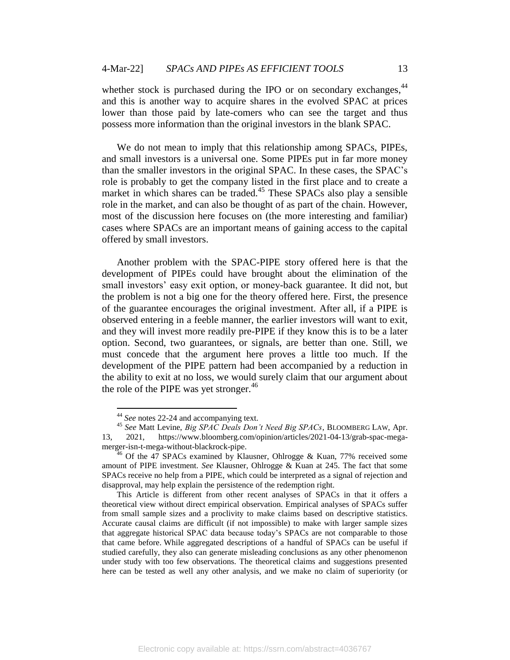whether stock is purchased during the IPO or on secondary exchanges,  $44$ and this is another way to acquire shares in the evolved SPAC at prices lower than those paid by late-comers who can see the target and thus possess more information than the original investors in the blank SPAC.

We do not mean to imply that this relationship among SPACs, PIPEs, and small investors is a universal one. Some PIPEs put in far more money than the smaller investors in the original SPAC. In these cases, the SPAC"s role is probably to get the company listed in the first place and to create a market in which shares can be traded.<sup>45</sup> These SPACs also play a sensible role in the market, and can also be thought of as part of the chain. However, most of the discussion here focuses on (the more interesting and familiar) cases where SPACs are an important means of gaining access to the capital offered by small investors.

Another problem with the SPAC-PIPE story offered here is that the development of PIPEs could have brought about the elimination of the small investors' easy exit option, or money-back guarantee. It did not, but the problem is not a big one for the theory offered here. First, the presence of the guarantee encourages the original investment. After all, if a PIPE is observed entering in a feeble manner, the earlier investors will want to exit, and they will invest more readily pre-PIPE if they know this is to be a later option. Second, two guarantees, or signals, are better than one. Still, we must concede that the argument here proves a little too much. If the development of the PIPE pattern had been accompanied by a reduction in the ability to exit at no loss, we would surely claim that our argument about the role of the PIPE was yet stronger.<sup>46</sup>

<sup>44</sup> *See* notes 22-24 and accompanying text.

<sup>45</sup> *See* Matt Levine, *Big SPAC Deals Don't Need Big SPACs*, BLOOMBERG LAW, Apr. 13, 2021, https://www.bloomberg.com/opinion/articles/2021-04-13/grab-spac-megamerger-isn-t-mega-without-blackrock-pipe.

<sup>&</sup>lt;sup>46</sup> Of the 47 SPACs examined by Klausner, Ohlrogge & Kuan, 77% received some amount of PIPE investment. *See* Klausner, Ohlrogge & Kuan at 245. The fact that some SPACs receive no help from a PIPE, which could be interpreted as a signal of rejection and disapproval, may help explain the persistence of the redemption right.

This Article is different from other recent analyses of SPACs in that it offers a theoretical view without direct empirical observation. Empirical analyses of SPACs suffer from small sample sizes and a proclivity to make claims based on descriptive statistics. Accurate causal claims are difficult (if not impossible) to make with larger sample sizes that aggregate historical SPAC data because today"s SPACs are not comparable to those that came before. While aggregated descriptions of a handful of SPACs can be useful if studied carefully, they also can generate misleading conclusions as any other phenomenon under study with too few observations. The theoretical claims and suggestions presented here can be tested as well any other analysis, and we make no claim of superiority (or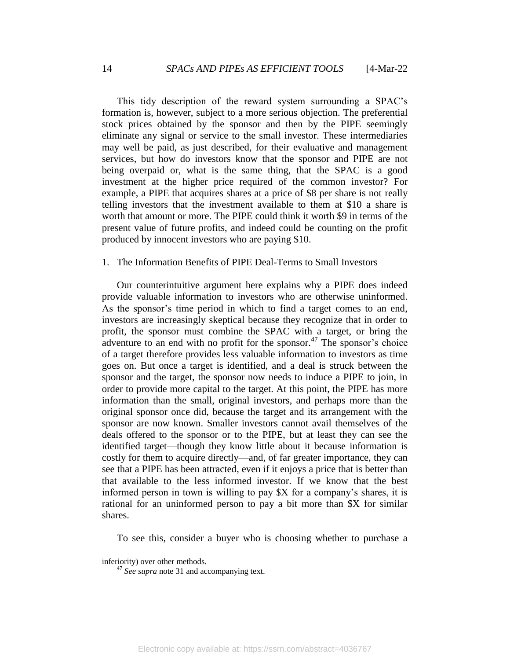This tidy description of the reward system surrounding a SPAC"s formation is, however, subject to a more serious objection. The preferential stock prices obtained by the sponsor and then by the PIPE seemingly eliminate any signal or service to the small investor. These intermediaries may well be paid, as just described, for their evaluative and management services, but how do investors know that the sponsor and PIPE are not being overpaid or, what is the same thing, that the SPAC is a good investment at the higher price required of the common investor? For example, a PIPE that acquires shares at a price of \$8 per share is not really telling investors that the investment available to them at \$10 a share is worth that amount or more. The PIPE could think it worth \$9 in terms of the present value of future profits, and indeed could be counting on the profit produced by innocent investors who are paying \$10.

### 1. The Information Benefits of PIPE Deal-Terms to Small Investors

Our counterintuitive argument here explains why a PIPE does indeed provide valuable information to investors who are otherwise uninformed. As the sponsor's time period in which to find a target comes to an end, investors are increasingly skeptical because they recognize that in order to profit, the sponsor must combine the SPAC with a target, or bring the adventure to an end with no profit for the sponsor.<sup>47</sup> The sponsor's choice of a target therefore provides less valuable information to investors as time goes on. But once a target is identified, and a deal is struck between the sponsor and the target, the sponsor now needs to induce a PIPE to join, in order to provide more capital to the target. At this point, the PIPE has more information than the small, original investors, and perhaps more than the original sponsor once did, because the target and its arrangement with the sponsor are now known. Smaller investors cannot avail themselves of the deals offered to the sponsor or to the PIPE, but at least they can see the identified target—though they know little about it because information is costly for them to acquire directly—and, of far greater importance, they can see that a PIPE has been attracted, even if it enjoys a price that is better than that available to the less informed investor. If we know that the best informed person in town is willing to pay \$X for a company's shares, it is rational for an uninformed person to pay a bit more than \$X for similar shares.

To see this, consider a buyer who is choosing whether to purchase a

inferiority) over other methods.

<sup>&</sup>lt;sup>47</sup> *See supra* note 31 and accompanying text.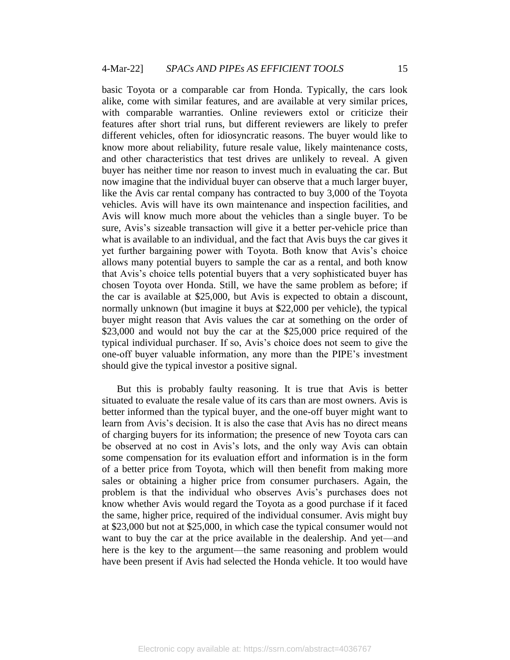basic Toyota or a comparable car from Honda. Typically, the cars look alike, come with similar features, and are available at very similar prices, with comparable warranties. Online reviewers extol or criticize their features after short trial runs, but different reviewers are likely to prefer different vehicles, often for idiosyncratic reasons. The buyer would like to know more about reliability, future resale value, likely maintenance costs, and other characteristics that test drives are unlikely to reveal. A given buyer has neither time nor reason to invest much in evaluating the car. But now imagine that the individual buyer can observe that a much larger buyer, like the Avis car rental company has contracted to buy 3,000 of the Toyota vehicles. Avis will have its own maintenance and inspection facilities, and Avis will know much more about the vehicles than a single buyer. To be sure, Avis's sizeable transaction will give it a better per-vehicle price than what is available to an individual, and the fact that Avis buys the car gives it yet further bargaining power with Toyota. Both know that Avis"s choice allows many potential buyers to sample the car as a rental, and both know that Avis"s choice tells potential buyers that a very sophisticated buyer has chosen Toyota over Honda. Still, we have the same problem as before; if the car is available at \$25,000, but Avis is expected to obtain a discount, normally unknown (but imagine it buys at \$22,000 per vehicle), the typical buyer might reason that Avis values the car at something on the order of \$23,000 and would not buy the car at the \$25,000 price required of the typical individual purchaser. If so, Avis"s choice does not seem to give the one-off buyer valuable information, any more than the PIPE"s investment should give the typical investor a positive signal.

But this is probably faulty reasoning. It is true that Avis is better situated to evaluate the resale value of its cars than are most owners. Avis is better informed than the typical buyer, and the one-off buyer might want to learn from Avis's decision. It is also the case that Avis has no direct means of charging buyers for its information; the presence of new Toyota cars can be observed at no cost in Avis's lots, and the only way Avis can obtain some compensation for its evaluation effort and information is in the form of a better price from Toyota, which will then benefit from making more sales or obtaining a higher price from consumer purchasers. Again, the problem is that the individual who observes Avis"s purchases does not know whether Avis would regard the Toyota as a good purchase if it faced the same, higher price, required of the individual consumer. Avis might buy at \$23,000 but not at \$25,000, in which case the typical consumer would not want to buy the car at the price available in the dealership. And yet—and here is the key to the argument—the same reasoning and problem would have been present if Avis had selected the Honda vehicle. It too would have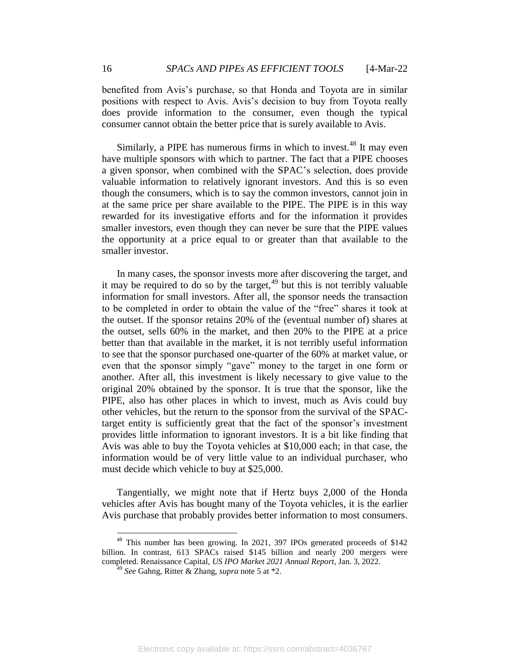benefited from Avis's purchase, so that Honda and Toyota are in similar positions with respect to Avis. Avis"s decision to buy from Toyota really does provide information to the consumer, even though the typical consumer cannot obtain the better price that is surely available to Avis.

Similarly, a PIPE has numerous firms in which to invest.<sup>48</sup> It may even have multiple sponsors with which to partner. The fact that a PIPE chooses a given sponsor, when combined with the SPAC"s selection, does provide valuable information to relatively ignorant investors. And this is so even though the consumers, which is to say the common investors, cannot join in at the same price per share available to the PIPE. The PIPE is in this way rewarded for its investigative efforts and for the information it provides smaller investors, even though they can never be sure that the PIPE values the opportunity at a price equal to or greater than that available to the smaller investor.

In many cases, the sponsor invests more after discovering the target, and it may be required to do so by the target, $49$  but this is not terribly valuable information for small investors. After all, the sponsor needs the transaction to be completed in order to obtain the value of the "free" shares it took at the outset. If the sponsor retains 20% of the (eventual number of) shares at the outset, sells 60% in the market, and then 20% to the PIPE at a price better than that available in the market, it is not terribly useful information to see that the sponsor purchased one-quarter of the 60% at market value, or even that the sponsor simply "gave" money to the target in one form or another. After all, this investment is likely necessary to give value to the original 20% obtained by the sponsor. It is true that the sponsor, like the PIPE, also has other places in which to invest, much as Avis could buy other vehicles, but the return to the sponsor from the survival of the SPACtarget entity is sufficiently great that the fact of the sponsor"s investment provides little information to ignorant investors. It is a bit like finding that Avis was able to buy the Toyota vehicles at \$10,000 each; in that case, the information would be of very little value to an individual purchaser, who must decide which vehicle to buy at \$25,000.

Tangentially, we might note that if Hertz buys 2,000 of the Honda vehicles after Avis has bought many of the Toyota vehicles, it is the earlier Avis purchase that probably provides better information to most consumers.

<sup>48</sup> This number has been growing. In 2021, 397 IPOs generated proceeds of \$142 billion. In contrast, 613 SPACs raised \$145 billion and nearly 200 mergers were completed. Renaissance Capital, *US IPO Market 2021 Annual Report*, Jan. 3, 2022.

<sup>49</sup> *See* Gahng, Ritter & Zhang, *supra* note 5 at \*2.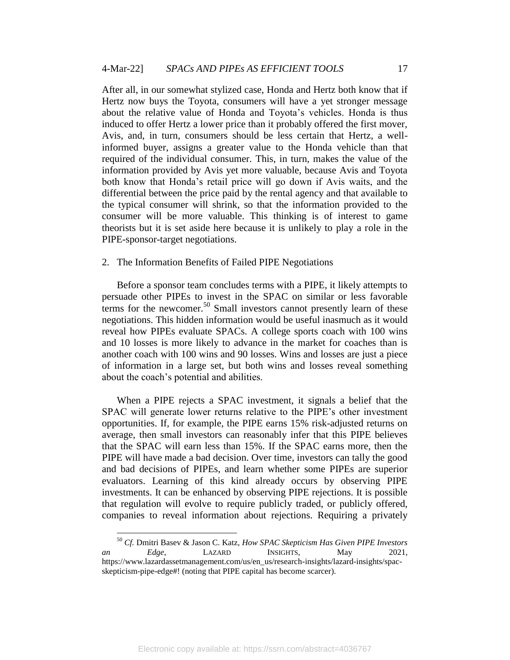After all, in our somewhat stylized case, Honda and Hertz both know that if Hertz now buys the Toyota, consumers will have a yet stronger message about the relative value of Honda and Toyota"s vehicles. Honda is thus induced to offer Hertz a lower price than it probably offered the first mover, Avis, and, in turn, consumers should be less certain that Hertz, a wellinformed buyer, assigns a greater value to the Honda vehicle than that required of the individual consumer. This, in turn, makes the value of the information provided by Avis yet more valuable, because Avis and Toyota both know that Honda"s retail price will go down if Avis waits, and the differential between the price paid by the rental agency and that available to the typical consumer will shrink, so that the information provided to the consumer will be more valuable. This thinking is of interest to game theorists but it is set aside here because it is unlikely to play a role in the PIPE-sponsor-target negotiations.

#### 2. The Information Benefits of Failed PIPE Negotiations

Before a sponsor team concludes terms with a PIPE, it likely attempts to persuade other PIPEs to invest in the SPAC on similar or less favorable terms for the newcomer.<sup>50</sup> Small investors cannot presently learn of these negotiations. This hidden information would be useful inasmuch as it would reveal how PIPEs evaluate SPACs. A college sports coach with 100 wins and 10 losses is more likely to advance in the market for coaches than is another coach with 100 wins and 90 losses. Wins and losses are just a piece of information in a large set, but both wins and losses reveal something about the coach"s potential and abilities.

When a PIPE rejects a SPAC investment, it signals a belief that the SPAC will generate lower returns relative to the PIPE"s other investment opportunities. If, for example, the PIPE earns 15% risk-adjusted returns on average, then small investors can reasonably infer that this PIPE believes that the SPAC will earn less than 15%. If the SPAC earns more, then the PIPE will have made a bad decision. Over time, investors can tally the good and bad decisions of PIPEs, and learn whether some PIPEs are superior evaluators. Learning of this kind already occurs by observing PIPE investments. It can be enhanced by observing PIPE rejections. It is possible that regulation will evolve to require publicly traded, or publicly offered, companies to reveal information about rejections. Requiring a privately

<sup>50</sup> *Cf.* Dmitri Basev & Jason C. Katz, *How SPAC Skepticism Has Given PIPE Investors an Edge*, LAZARD INSIGHTS, May 2021, https://www.lazardassetmanagement.com/us/en\_us/research-insights/lazard-insights/spacskepticism-pipe-edge#! (noting that PIPE capital has become scarcer).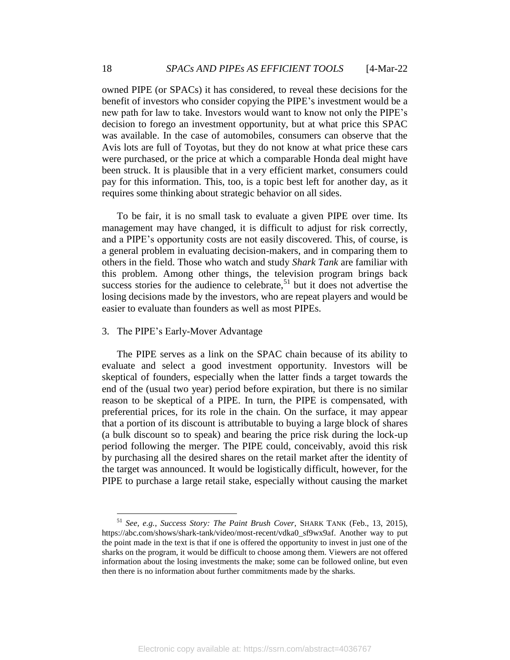owned PIPE (or SPACs) it has considered, to reveal these decisions for the benefit of investors who consider copying the PIPE"s investment would be a new path for law to take. Investors would want to know not only the PIPE"s decision to forego an investment opportunity, but at what price this SPAC was available. In the case of automobiles, consumers can observe that the Avis lots are full of Toyotas, but they do not know at what price these cars were purchased, or the price at which a comparable Honda deal might have been struck. It is plausible that in a very efficient market, consumers could pay for this information. This, too, is a topic best left for another day, as it requires some thinking about strategic behavior on all sides.

To be fair, it is no small task to evaluate a given PIPE over time. Its management may have changed, it is difficult to adjust for risk correctly, and a PIPE's opportunity costs are not easily discovered. This, of course, is a general problem in evaluating decision-makers, and in comparing them to others in the field. Those who watch and study *Shark Tank* are familiar with this problem. Among other things, the television program brings back success stories for the audience to celebrate, $51$  but it does not advertise the losing decisions made by the investors, who are repeat players and would be easier to evaluate than founders as well as most PIPEs.

# 3. The PIPE"s Early-Mover Advantage

The PIPE serves as a link on the SPAC chain because of its ability to evaluate and select a good investment opportunity. Investors will be skeptical of founders, especially when the latter finds a target towards the end of the (usual two year) period before expiration, but there is no similar reason to be skeptical of a PIPE. In turn, the PIPE is compensated, with preferential prices, for its role in the chain. On the surface, it may appear that a portion of its discount is attributable to buying a large block of shares (a bulk discount so to speak) and bearing the price risk during the lock-up period following the merger. The PIPE could, conceivably, avoid this risk by purchasing all the desired shares on the retail market after the identity of the target was announced. It would be logistically difficult, however, for the PIPE to purchase a large retail stake, especially without causing the market

<sup>51</sup> *See, e.g.*, *Success Story: The Paint Brush Cover*, SHARK TANK (Feb., 13, 2015), https://abc.com/shows/shark-tank/video/most-recent/vdka0\_sf9wx9af. Another way to put the point made in the text is that if one is offered the opportunity to invest in just one of the sharks on the program, it would be difficult to choose among them. Viewers are not offered information about the losing investments the make; some can be followed online, but even then there is no information about further commitments made by the sharks.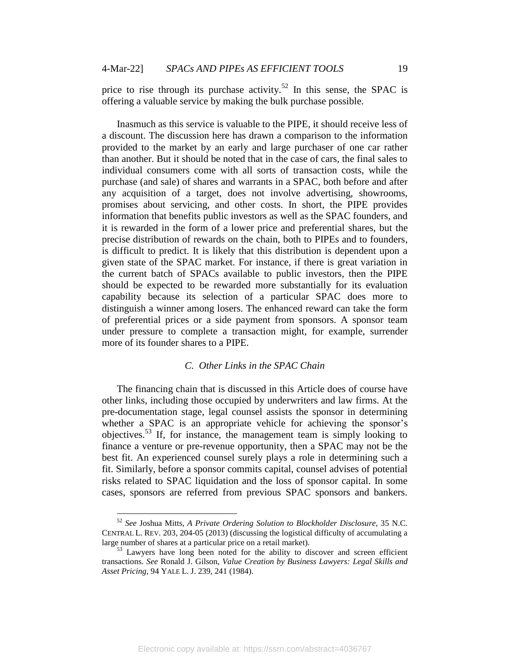price to rise through its purchase activity.<sup>52</sup> In this sense, the SPAC is offering a valuable service by making the bulk purchase possible.

Inasmuch as this service is valuable to the PIPE, it should receive less of a discount. The discussion here has drawn a comparison to the information provided to the market by an early and large purchaser of one car rather than another. But it should be noted that in the case of cars, the final sales to individual consumers come with all sorts of transaction costs, while the purchase (and sale) of shares and warrants in a SPAC, both before and after any acquisition of a target, does not involve advertising, showrooms, promises about servicing, and other costs. In short, the PIPE provides information that benefits public investors as well as the SPAC founders, and it is rewarded in the form of a lower price and preferential shares, but the precise distribution of rewards on the chain, both to PIPEs and to founders, is difficult to predict. It is likely that this distribution is dependent upon a given state of the SPAC market. For instance, if there is great variation in the current batch of SPACs available to public investors, then the PIPE should be expected to be rewarded more substantially for its evaluation capability because its selection of a particular SPAC does more to distinguish a winner among losers. The enhanced reward can take the form of preferential prices or a side payment from sponsors. A sponsor team under pressure to complete a transaction might, for example, surrender more of its founder shares to a PIPE.

# *C. Other Links in the SPAC Chain*

The financing chain that is discussed in this Article does of course have other links, including those occupied by underwriters and law firms. At the pre-documentation stage, legal counsel assists the sponsor in determining whether a SPAC is an appropriate vehicle for achieving the sponsor's objectives.<sup>53</sup> If, for instance, the management team is simply looking to finance a venture or pre-revenue opportunity, then a SPAC may not be the best fit. An experienced counsel surely plays a role in determining such a fit. Similarly, before a sponsor commits capital, counsel advises of potential risks related to SPAC liquidation and the loss of sponsor capital. In some cases, sponsors are referred from previous SPAC sponsors and bankers.

<sup>52</sup> *See* Joshua Mitts, *A Private Ordering Solution to Blockholder Disclosure*, 35 N.C. CENTRAL L. REV. 203, 204-05 (2013) (discussing the logistical difficulty of accumulating a large number of shares at a particular price on a retail market).

 $53$  Lawyers have long been noted for the ability to discover and screen efficient transactions. *See* Ronald J. Gilson, *Value Creation by Business Lawyers: Legal Skills and Asset Pricing*, 94 YALE L. J. 239, 241 (1984).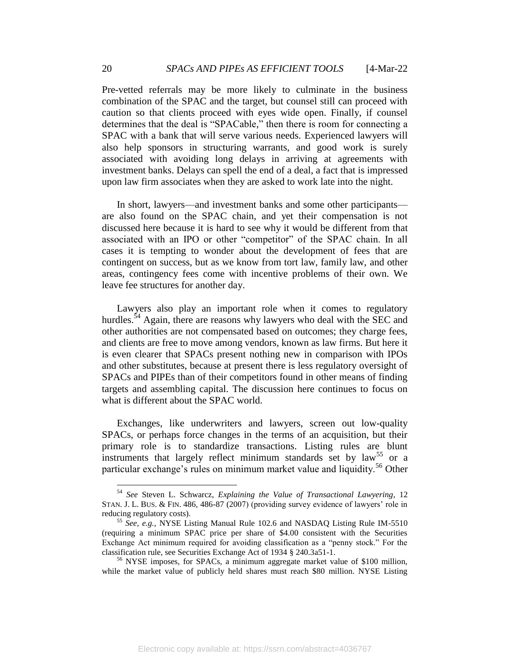Pre-vetted referrals may be more likely to culminate in the business combination of the SPAC and the target, but counsel still can proceed with caution so that clients proceed with eyes wide open. Finally, if counsel determines that the deal is "SPACable," then there is room for connecting a SPAC with a bank that will serve various needs. Experienced lawyers will also help sponsors in structuring warrants, and good work is surely associated with avoiding long delays in arriving at agreements with investment banks. Delays can spell the end of a deal, a fact that is impressed upon law firm associates when they are asked to work late into the night.

In short, lawyers—and investment banks and some other participants are also found on the SPAC chain, and yet their compensation is not discussed here because it is hard to see why it would be different from that associated with an IPO or other "competitor" of the SPAC chain. In all cases it is tempting to wonder about the development of fees that are contingent on success, but as we know from tort law, family law, and other areas, contingency fees come with incentive problems of their own. We leave fee structures for another day.

Lawyers also play an important role when it comes to regulatory hurdles.<sup>54</sup> Again, there are reasons why lawyers who deal with the SEC and other authorities are not compensated based on outcomes; they charge fees, and clients are free to move among vendors, known as law firms. But here it is even clearer that SPACs present nothing new in comparison with IPOs and other substitutes, because at present there is less regulatory oversight of SPACs and PIPEs than of their competitors found in other means of finding targets and assembling capital. The discussion here continues to focus on what is different about the SPAC world.

Exchanges, like underwriters and lawyers, screen out low-quality SPACs, or perhaps force changes in the terms of an acquisition, but their primary role is to standardize transactions. Listing rules are blunt instruments that largely reflect minimum standards set by  $law<sup>55</sup>$  or a particular exchange's rules on minimum market value and liquidity.<sup>56</sup> Other

<sup>54</sup> *See* Steven L. Schwarcz, *Explaining the Value of Transactional Lawyering*, 12 STAN. J. L. BUS. & FIN. 486, 486-87 (2007) (providing survey evidence of lawyers' role in reducing regulatory costs).

<sup>55</sup> *See, e.g.,* NYSE Listing Manual Rule 102.6 and NASDAQ Listing Rule IM-5510 (requiring a minimum SPAC price per share of \$4.00 consistent with the Securities Exchange Act minimum required for avoiding classification as a "penny stock." For the classification rule, see Securities Exchange Act of 1934 § 240.3a51-1.

<sup>&</sup>lt;sup>56</sup> NYSE imposes, for SPACs, a minimum aggregate market value of \$100 million, while the market value of publicly held shares must reach \$80 million. NYSE Listing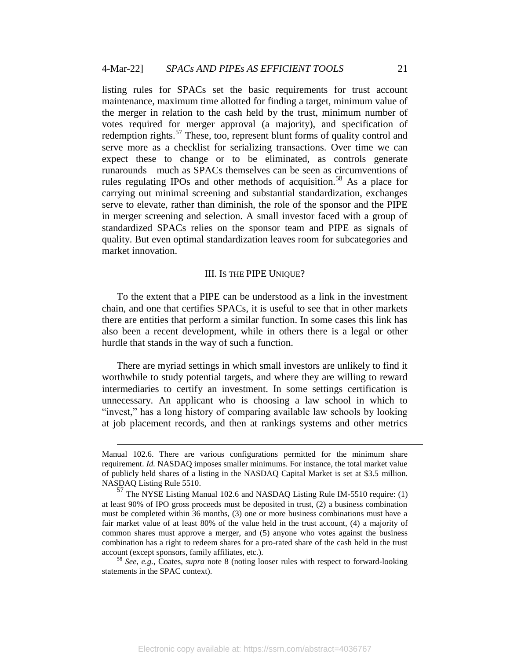listing rules for SPACs set the basic requirements for trust account maintenance, maximum time allotted for finding a target, minimum value of the merger in relation to the cash held by the trust, minimum number of votes required for merger approval (a majority), and specification of redemption rights.<sup>57</sup> These, too, represent blunt forms of quality control and serve more as a checklist for serializing transactions. Over time we can expect these to change or to be eliminated, as controls generate runarounds—much as SPACs themselves can be seen as circumventions of rules regulating IPOs and other methods of acquisition.<sup>58</sup> As a place for carrying out minimal screening and substantial standardization, exchanges serve to elevate, rather than diminish, the role of the sponsor and the PIPE in merger screening and selection. A small investor faced with a group of standardized SPACs relies on the sponsor team and PIPE as signals of quality. But even optimal standardization leaves room for subcategories and market innovation.

#### III. IS THE PIPE UNIQUE?

To the extent that a PIPE can be understood as a link in the investment chain, and one that certifies SPACs, it is useful to see that in other markets there are entities that perform a similar function. In some cases this link has also been a recent development, while in others there is a legal or other hurdle that stands in the way of such a function.

There are myriad settings in which small investors are unlikely to find it worthwhile to study potential targets, and where they are willing to reward intermediaries to certify an investment. In some settings certification is unnecessary. An applicant who is choosing a law school in which to "invest," has a long history of comparing available law schools by looking at job placement records, and then at rankings systems and other metrics

Manual 102.6. There are various configurations permitted for the minimum share requirement. *Id.* NASDAQ imposes smaller minimums. For instance, the total market value of publicly held shares of a listing in the NASDAQ Capital Market is set at \$3.5 million. NASDAQ Listing Rule 5510.

 $57$  The NYSE Listing Manual 102.6 and NASDAQ Listing Rule IM-5510 require: (1) at least 90% of IPO gross proceeds must be deposited in trust, (2) a business combination must be completed within 36 months, (3) one or more business combinations must have a fair market value of at least 80% of the value held in the trust account, (4) a majority of common shares must approve a merger, and (5) anyone who votes against the business combination has a right to redeem shares for a pro-rated share of the cash held in the trust account (except sponsors, family affiliates, etc.).

<sup>58</sup> *See, e.g.*, Coates, *supra* note 8 (noting looser rules with respect to forward-looking statements in the SPAC context).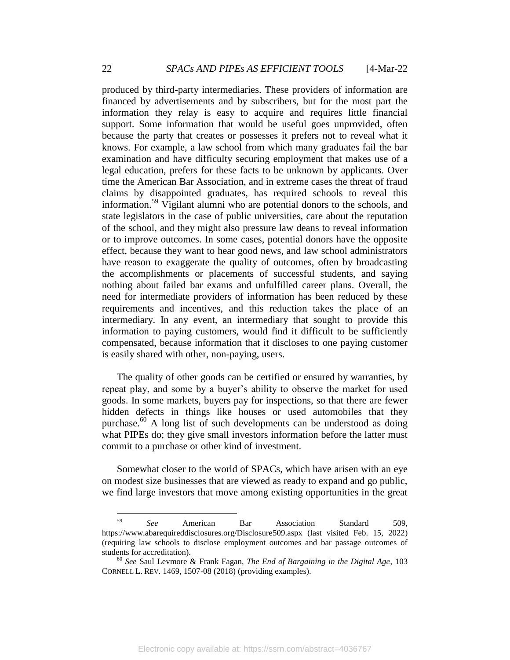produced by third-party intermediaries. These providers of information are financed by advertisements and by subscribers, but for the most part the information they relay is easy to acquire and requires little financial support. Some information that would be useful goes unprovided, often because the party that creates or possesses it prefers not to reveal what it knows. For example, a law school from which many graduates fail the bar examination and have difficulty securing employment that makes use of a legal education, prefers for these facts to be unknown by applicants. Over time the American Bar Association, and in extreme cases the threat of fraud claims by disappointed graduates, has required schools to reveal this information.<sup>59</sup> Vigilant alumni who are potential donors to the schools, and state legislators in the case of public universities, care about the reputation of the school, and they might also pressure law deans to reveal information or to improve outcomes. In some cases, potential donors have the opposite effect, because they want to hear good news, and law school administrators have reason to exaggerate the quality of outcomes, often by broadcasting the accomplishments or placements of successful students, and saying nothing about failed bar exams and unfulfilled career plans. Overall, the need for intermediate providers of information has been reduced by these requirements and incentives, and this reduction takes the place of an intermediary. In any event, an intermediary that sought to provide this information to paying customers, would find it difficult to be sufficiently compensated, because information that it discloses to one paying customer is easily shared with other, non-paying, users.

The quality of other goods can be certified or ensured by warranties, by repeat play, and some by a buyer's ability to observe the market for used goods. In some markets, buyers pay for inspections, so that there are fewer hidden defects in things like houses or used automobiles that they purchase.<sup>60</sup> A long list of such developments can be understood as doing what PIPEs do; they give small investors information before the latter must commit to a purchase or other kind of investment.

Somewhat closer to the world of SPACs, which have arisen with an eye on modest size businesses that are viewed as ready to expand and go public, we find large investors that move among existing opportunities in the great

<sup>59</sup> <sup>59</sup> *See* American Bar Association Standard 509, https://www.abarequireddisclosures.org/Disclosure509.aspx (last visited Feb. 15, 2022) (requiring law schools to disclose employment outcomes and bar passage outcomes of students for accreditation).

<sup>60</sup> *See* Saul Levmore & Frank Fagan, *The End of Bargaining in the Digital Age*, 103 CORNELL L. REV. 1469, 1507-08 (2018) (providing examples).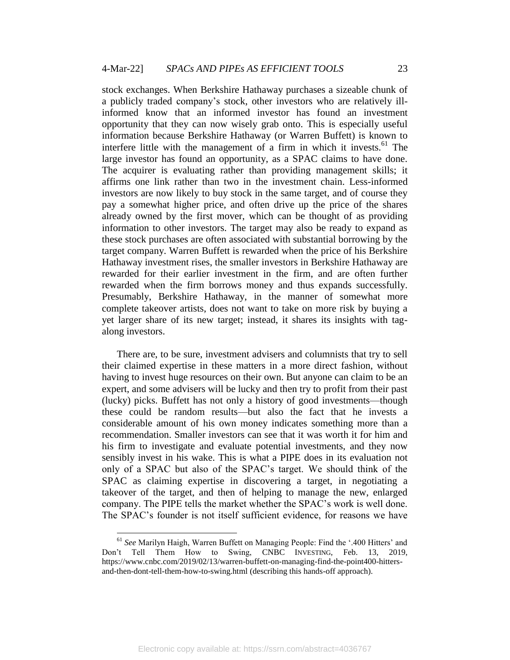stock exchanges. When Berkshire Hathaway purchases a sizeable chunk of a publicly traded company"s stock, other investors who are relatively illinformed know that an informed investor has found an investment opportunity that they can now wisely grab onto. This is especially useful information because Berkshire Hathaway (or Warren Buffett) is known to interfere little with the management of a firm in which it invests.<sup>61</sup> The large investor has found an opportunity, as a SPAC claims to have done. The acquirer is evaluating rather than providing management skills; it affirms one link rather than two in the investment chain. Less-informed investors are now likely to buy stock in the same target, and of course they pay a somewhat higher price, and often drive up the price of the shares already owned by the first mover, which can be thought of as providing information to other investors. The target may also be ready to expand as these stock purchases are often associated with substantial borrowing by the target company. Warren Buffett is rewarded when the price of his Berkshire Hathaway investment rises, the smaller investors in Berkshire Hathaway are rewarded for their earlier investment in the firm, and are often further rewarded when the firm borrows money and thus expands successfully. Presumably, Berkshire Hathaway, in the manner of somewhat more complete takeover artists, does not want to take on more risk by buying a yet larger share of its new target; instead, it shares its insights with tagalong investors.

There are, to be sure, investment advisers and columnists that try to sell their claimed expertise in these matters in a more direct fashion, without having to invest huge resources on their own. But anyone can claim to be an expert, and some advisers will be lucky and then try to profit from their past (lucky) picks. Buffett has not only a history of good investments—though these could be random results—but also the fact that he invests a considerable amount of his own money indicates something more than a recommendation. Smaller investors can see that it was worth it for him and his firm to investigate and evaluate potential investments, and they now sensibly invest in his wake. This is what a PIPE does in its evaluation not only of a SPAC but also of the SPAC"s target. We should think of the SPAC as claiming expertise in discovering a target, in negotiating a takeover of the target, and then of helping to manage the new, enlarged company. The PIPE tells the market whether the SPAC"s work is well done. The SPAC's founder is not itself sufficient evidence, for reasons we have

<sup>61</sup> *See* Marilyn Haigh, Warren Buffett on Managing People: Find the ".400 Hitters" and Don"t Tell Them How to Swing, CNBC INVESTING, Feb. 13, 2019, https://www.cnbc.com/2019/02/13/warren-buffett-on-managing-find-the-point400-hittersand-then-dont-tell-them-how-to-swing.html (describing this hands-off approach).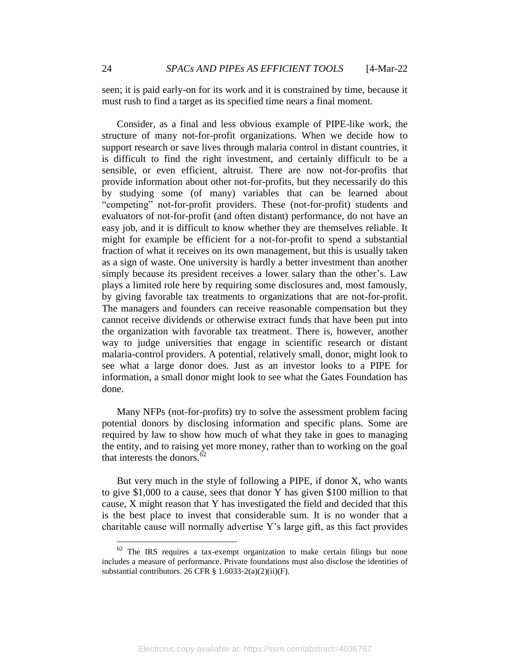seen; it is paid early-on for its work and it is constrained by time, because it must rush to find a target as its specified time nears a final moment.

Consider, as a final and less obvious example of PIPE-like work, the structure of many not-for-profit organizations. When we decide how to support research or save lives through malaria control in distant countries, it is difficult to find the right investment, and certainly difficult to be a sensible, or even efficient, altruist. There are now not-for-profits that provide information about other not-for-profits, but they necessarily do this by studying some (of many) variables that can be learned about "competing" not-for-profit providers. These (not-for-profit) students and evaluators of not-for-profit (and often distant) performance, do not have an easy job, and it is difficult to know whether they are themselves reliable. It might for example be efficient for a not-for-profit to spend a substantial fraction of what it receives on its own management, but this is usually taken as a sign of waste. One university is hardly a better investment than another simply because its president receives a lower salary than the other's. Law plays a limited role here by requiring some disclosures and, most famously, by giving favorable tax treatments to organizations that are not-for-profit. The managers and founders can receive reasonable compensation but they cannot receive dividends or otherwise extract funds that have been put into the organization with favorable tax treatment. There is, however, another way to judge universities that engage in scientific research or distant malaria-control providers. A potential, relatively small, donor, might look to see what a large donor does. Just as an investor looks to a PIPE for information, a small donor might look to see what the Gates Foundation has done.

Many NFPs (not-for-profits) try to solve the assessment problem facing potential donors by disclosing information and specific plans. Some are required by law to show how much of what they take in goes to managing the entity, and to raising yet more money, rather than to working on the goal that interests the donors.<sup>62</sup>

But very much in the style of following a PIPE, if donor X, who wants to give \$1,000 to a cause, sees that donor Y has given \$100 million to that cause, X might reason that Y has investigated the field and decided that this is the best place to invest that considerable sum. It is no wonder that a charitable cause will normally advertise Y"s large gift, as this fact provides

The IRS requires a tax-exempt organization to make certain filings but none includes a measure of performance. Private foundations must also disclose the identities of substantial contributors. 26 CFR  $\S$  1.6033-2(a)(2)(ii)(F).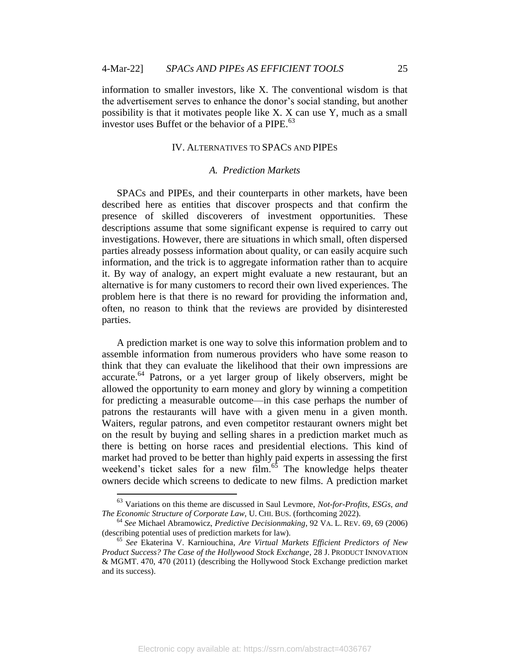information to smaller investors, like X. The conventional wisdom is that the advertisement serves to enhance the donor"s social standing, but another possibility is that it motivates people like X. X can use Y, much as a small investor uses Buffet or the behavior of a PIPE. $^{63}$ 

### IV. ALTERNATIVES TO SPACS AND PIPES

## *A. Prediction Markets*

SPACs and PIPEs, and their counterparts in other markets, have been described here as entities that discover prospects and that confirm the presence of skilled discoverers of investment opportunities. These descriptions assume that some significant expense is required to carry out investigations. However, there are situations in which small, often dispersed parties already possess information about quality, or can easily acquire such information, and the trick is to aggregate information rather than to acquire it. By way of analogy, an expert might evaluate a new restaurant, but an alternative is for many customers to record their own lived experiences. The problem here is that there is no reward for providing the information and, often, no reason to think that the reviews are provided by disinterested parties.

A prediction market is one way to solve this information problem and to assemble information from numerous providers who have some reason to think that they can evaluate the likelihood that their own impressions are accurate.<sup>64</sup> Patrons, or a yet larger group of likely observers, might be allowed the opportunity to earn money and glory by winning a competition for predicting a measurable outcome—in this case perhaps the number of patrons the restaurants will have with a given menu in a given month. Waiters, regular patrons, and even competitor restaurant owners might bet on the result by buying and selling shares in a prediction market much as there is betting on horse races and presidential elections. This kind of market had proved to be better than highly paid experts in assessing the first weekend's ticket sales for a new film. $65$  The knowledge helps theater owners decide which screens to dedicate to new films. A prediction market

<sup>63</sup> Variations on this theme are discussed in Saul Levmore, *Not-for-Profits, ESGs, and The Economic Structure of Corporate Law*, U. CHI. BUS. (forthcoming 2022).

<sup>64</sup> *See* Michael Abramowicz, *Predictive Decisionmaking*, 92 VA. L. REV. 69, 69 (2006) (describing potential uses of prediction markets for law).

<sup>65</sup> *See* Ekaterina V. Karniouchina, *Are Virtual Markets Efficient Predictors of New Product Success? The Case of the Hollywood Stock Exchange*, 28 J. PRODUCT INNOVATION & MGMT. 470, 470 (2011) (describing the Hollywood Stock Exchange prediction market and its success).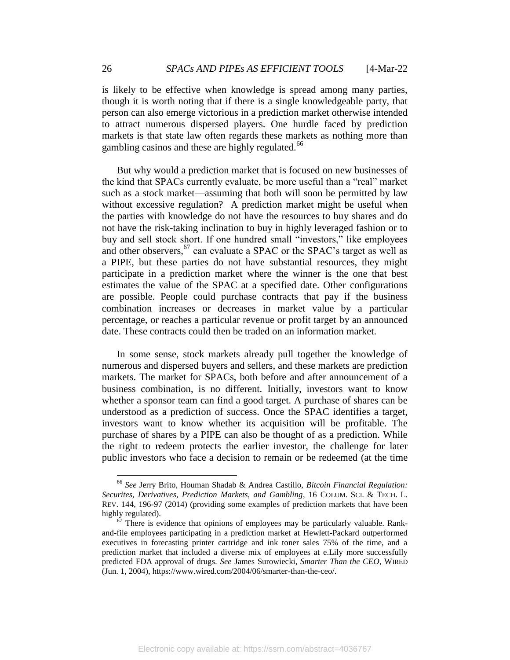is likely to be effective when knowledge is spread among many parties, though it is worth noting that if there is a single knowledgeable party, that person can also emerge victorious in a prediction market otherwise intended to attract numerous dispersed players. One hurdle faced by prediction markets is that state law often regards these markets as nothing more than gambling casinos and these are highly regulated.<sup>66</sup>

But why would a prediction market that is focused on new businesses of the kind that SPACs currently evaluate, be more useful than a "real" market such as a stock market—assuming that both will soon be permitted by law without excessive regulation? A prediction market might be useful when the parties with knowledge do not have the resources to buy shares and do not have the risk-taking inclination to buy in highly leveraged fashion or to buy and sell stock short. If one hundred small "investors," like employees and other observers,  $67$  can evaluate a SPAC or the SPAC's target as well as a PIPE, but these parties do not have substantial resources, they might participate in a prediction market where the winner is the one that best estimates the value of the SPAC at a specified date. Other configurations are possible. People could purchase contracts that pay if the business combination increases or decreases in market value by a particular percentage, or reaches a particular revenue or profit target by an announced date. These contracts could then be traded on an information market.

In some sense, stock markets already pull together the knowledge of numerous and dispersed buyers and sellers, and these markets are prediction markets. The market for SPACs, both before and after announcement of a business combination, is no different. Initially, investors want to know whether a sponsor team can find a good target. A purchase of shares can be understood as a prediction of success. Once the SPAC identifies a target, investors want to know whether its acquisition will be profitable. The purchase of shares by a PIPE can also be thought of as a prediction. While the right to redeem protects the earlier investor, the challenge for later public investors who face a decision to remain or be redeemed (at the time

<sup>66</sup> *See* Jerry Brito, Houman Shadab & Andrea Castillo, *Bitcoin Financial Regulation: Securites, Derivatives, Prediction Markets, and Gambling*, 16 COLUM. SCI. & TECH. L. REV. 144, 196-97 (2014) (providing some examples of prediction markets that have been highly regulated).

 $67$  There is evidence that opinions of employees may be particularly valuable. Rankand-file employees participating in a prediction market at Hewlett-Packard outperformed executives in forecasting printer cartridge and ink toner sales 75% of the time, and a prediction market that included a diverse mix of employees at e.Lily more successfully predicted FDA approval of drugs. *See* James Surowiecki, *Smarter Than the CEO*, WIRED (Jun. 1, 2004), https://www.wired.com/2004/06/smarter-than-the-ceo/.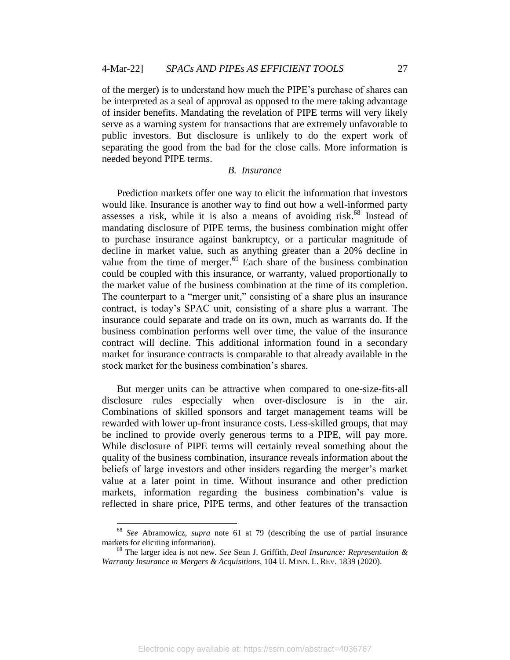of the merger) is to understand how much the PIPE"s purchase of shares can be interpreted as a seal of approval as opposed to the mere taking advantage of insider benefits. Mandating the revelation of PIPE terms will very likely serve as a warning system for transactions that are extremely unfavorable to public investors. But disclosure is unlikely to do the expert work of separating the good from the bad for the close calls. More information is needed beyond PIPE terms.

#### *B. Insurance*

Prediction markets offer one way to elicit the information that investors would like. Insurance is another way to find out how a well-informed party assesses a risk, while it is also a means of avoiding risk.<sup>68</sup> Instead of mandating disclosure of PIPE terms, the business combination might offer to purchase insurance against bankruptcy, or a particular magnitude of decline in market value, such as anything greater than a 20% decline in value from the time of merger. $69$  Each share of the business combination could be coupled with this insurance, or warranty, valued proportionally to the market value of the business combination at the time of its completion. The counterpart to a "merger unit," consisting of a share plus an insurance contract, is today"s SPAC unit, consisting of a share plus a warrant. The insurance could separate and trade on its own, much as warrants do. If the business combination performs well over time, the value of the insurance contract will decline. This additional information found in a secondary market for insurance contracts is comparable to that already available in the stock market for the business combination's shares.

But merger units can be attractive when compared to one-size-fits-all disclosure rules—especially when over-disclosure is in the air. Combinations of skilled sponsors and target management teams will be rewarded with lower up-front insurance costs. Less-skilled groups, that may be inclined to provide overly generous terms to a PIPE, will pay more. While disclosure of PIPE terms will certainly reveal something about the quality of the business combination, insurance reveals information about the beliefs of large investors and other insiders regarding the merger's market value at a later point in time. Without insurance and other prediction markets, information regarding the business combination"s value is reflected in share price, PIPE terms, and other features of the transaction

<sup>68</sup> *See* Abramowicz, *supra* note 61 at 79 (describing the use of partial insurance markets for eliciting information).

<sup>69</sup> The larger idea is not new. *See* Sean J. Griffith, *Deal Insurance: Representation & Warranty Insurance in Mergers & Acquisitions*, 104 U. MINN. L. REV. 1839 (2020).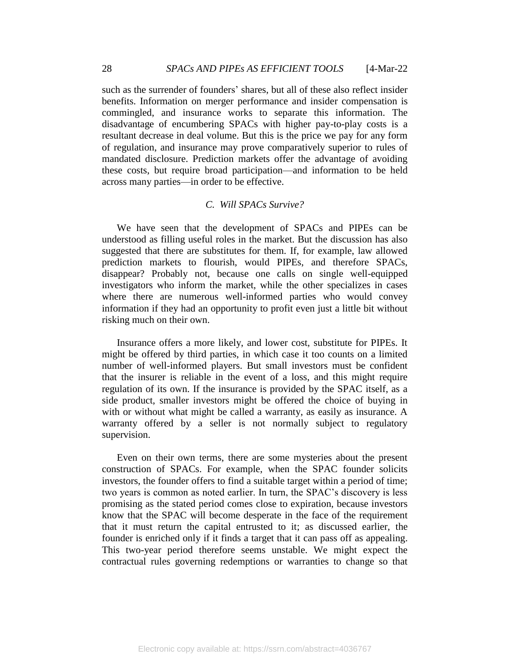such as the surrender of founders" shares, but all of these also reflect insider benefits. Information on merger performance and insider compensation is commingled, and insurance works to separate this information. The disadvantage of encumbering SPACs with higher pay-to-play costs is a resultant decrease in deal volume. But this is the price we pay for any form of regulation, and insurance may prove comparatively superior to rules of mandated disclosure. Prediction markets offer the advantage of avoiding these costs, but require broad participation—and information to be held across many parties—in order to be effective.

#### *C. Will SPACs Survive?*

We have seen that the development of SPACs and PIPEs can be understood as filling useful roles in the market. But the discussion has also suggested that there are substitutes for them. If, for example, law allowed prediction markets to flourish, would PIPEs, and therefore SPACs, disappear? Probably not, because one calls on single well-equipped investigators who inform the market, while the other specializes in cases where there are numerous well-informed parties who would convey information if they had an opportunity to profit even just a little bit without risking much on their own.

Insurance offers a more likely, and lower cost, substitute for PIPEs. It might be offered by third parties, in which case it too counts on a limited number of well-informed players. But small investors must be confident that the insurer is reliable in the event of a loss, and this might require regulation of its own. If the insurance is provided by the SPAC itself, as a side product, smaller investors might be offered the choice of buying in with or without what might be called a warranty, as easily as insurance. A warranty offered by a seller is not normally subject to regulatory supervision.

Even on their own terms, there are some mysteries about the present construction of SPACs. For example, when the SPAC founder solicits investors, the founder offers to find a suitable target within a period of time; two years is common as noted earlier. In turn, the SPAC"s discovery is less promising as the stated period comes close to expiration, because investors know that the SPAC will become desperate in the face of the requirement that it must return the capital entrusted to it; as discussed earlier, the founder is enriched only if it finds a target that it can pass off as appealing. This two-year period therefore seems unstable. We might expect the contractual rules governing redemptions or warranties to change so that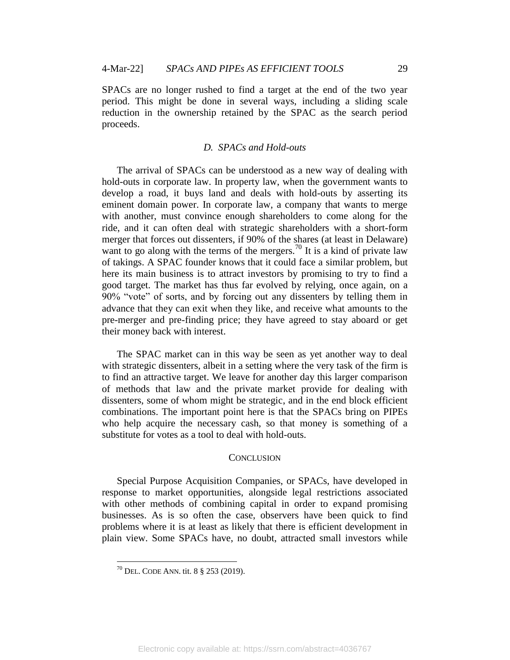SPACs are no longer rushed to find a target at the end of the two year period. This might be done in several ways, including a sliding scale reduction in the ownership retained by the SPAC as the search period proceeds.

## *D. SPACs and Hold-outs*

The arrival of SPACs can be understood as a new way of dealing with hold-outs in corporate law. In property law, when the government wants to develop a road, it buys land and deals with hold-outs by asserting its eminent domain power. In corporate law, a company that wants to merge with another, must convince enough shareholders to come along for the ride, and it can often deal with strategic shareholders with a short-form merger that forces out dissenters, if 90% of the shares (at least in Delaware) want to go along with the terms of the mergers.<sup>70</sup> It is a kind of private law of takings. A SPAC founder knows that it could face a similar problem, but here its main business is to attract investors by promising to try to find a good target. The market has thus far evolved by relying, once again, on a 90% "vote" of sorts, and by forcing out any dissenters by telling them in advance that they can exit when they like, and receive what amounts to the pre-merger and pre-finding price; they have agreed to stay aboard or get their money back with interest.

The SPAC market can in this way be seen as yet another way to deal with strategic dissenters, albeit in a setting where the very task of the firm is to find an attractive target. We leave for another day this larger comparison of methods that law and the private market provide for dealing with dissenters, some of whom might be strategic, and in the end block efficient combinations. The important point here is that the SPACs bring on PIPEs who help acquire the necessary cash, so that money is something of a substitute for votes as a tool to deal with hold-outs.

### **CONCLUSION**

Special Purpose Acquisition Companies, or SPACs, have developed in response to market opportunities, alongside legal restrictions associated with other methods of combining capital in order to expand promising businesses. As is so often the case, observers have been quick to find problems where it is at least as likely that there is efficient development in plain view. Some SPACs have, no doubt, attracted small investors while

<sup>70</sup> DEL. CODE ANN. tit. 8 § 253 (2019).